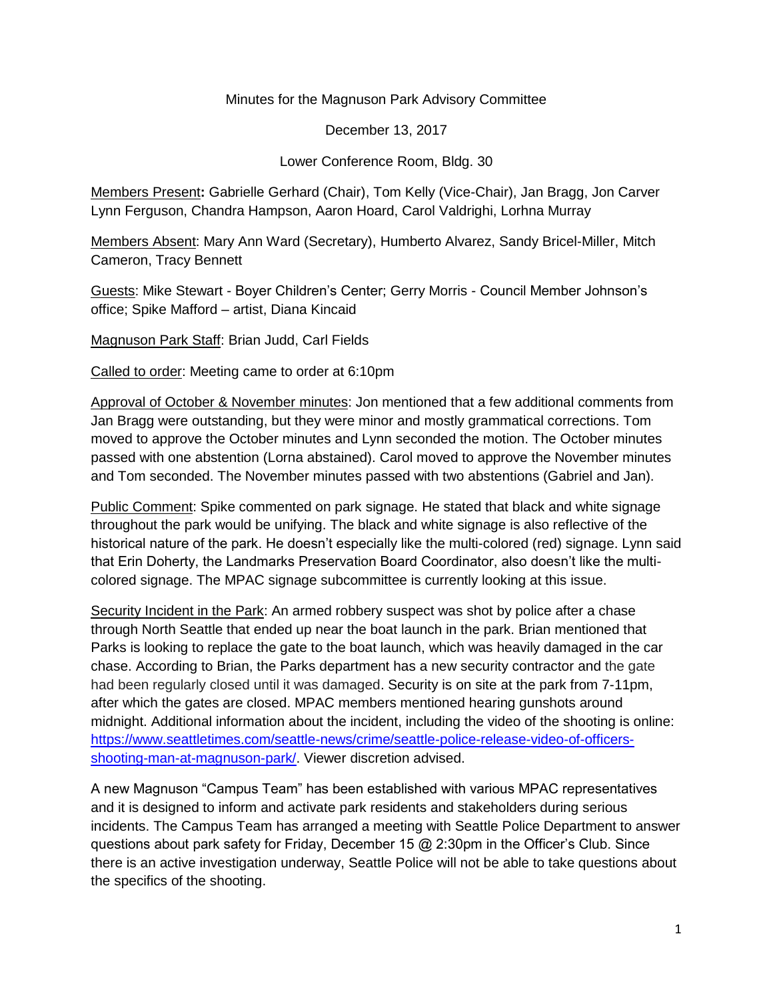Minutes for the Magnuson Park Advisory Committee

December 13, 2017

Lower Conference Room, Bldg. 30

Members Present**:** Gabrielle Gerhard (Chair), Tom Kelly (Vice-Chair), Jan Bragg, Jon Carver Lynn Ferguson, Chandra Hampson, Aaron Hoard, Carol Valdrighi, Lorhna Murray

Members Absent: Mary Ann Ward (Secretary), Humberto Alvarez, Sandy Bricel-Miller, Mitch Cameron, Tracy Bennett

Guests: Mike Stewart - Boyer Children's Center; Gerry Morris - Council Member Johnson's office; Spike Mafford – artist, Diana Kincaid

Magnuson Park Staff: Brian Judd, Carl Fields

Called to order: Meeting came to order at 6:10pm

Approval of October & November minutes: Jon mentioned that a few additional comments from Jan Bragg were outstanding, but they were minor and mostly grammatical corrections. Tom moved to approve the October minutes and Lynn seconded the motion. The October minutes passed with one abstention (Lorna abstained). Carol moved to approve the November minutes and Tom seconded. The November minutes passed with two abstentions (Gabriel and Jan).

Public Comment: Spike commented on park signage. He stated that black and white signage throughout the park would be unifying. The black and white signage is also reflective of the historical nature of the park. He doesn't especially like the multi-colored (red) signage. Lynn said that Erin Doherty, the Landmarks Preservation Board Coordinator, also doesn't like the multicolored signage. The MPAC signage subcommittee is currently looking at this issue.

Security Incident in the Park: An armed robbery suspect was shot by police after a chase through North Seattle that ended up near the boat launch in the park. Brian mentioned that Parks is looking to replace the gate to the boat launch, which was heavily damaged in the car chase. According to Brian, the Parks department has a new security contractor and the gate had been regularly closed until it was damaged. Security is on site at the park from 7-11pm, after which the gates are closed. MPAC members mentioned hearing gunshots around midnight. Additional information about the incident, including the video of the shooting is online: [https://www.seattletimes.com/seattle-news/crime/seattle-police-release-video-of-officers](https://www.seattletimes.com/seattle-news/crime/seattle-police-release-video-of-officers-shooting-man-at-magnuson-park/)[shooting-man-at-magnuson-park/.](https://www.seattletimes.com/seattle-news/crime/seattle-police-release-video-of-officers-shooting-man-at-magnuson-park/) Viewer discretion advised.

A new Magnuson "Campus Team" has been established with various MPAC representatives and it is designed to inform and activate park residents and stakeholders during serious incidents. The Campus Team has arranged a meeting with Seattle Police Department to answer questions about park safety for Friday, December 15 @ 2:30pm in the Officer's Club. Since there is an active investigation underway, Seattle Police will not be able to take questions about the specifics of the shooting.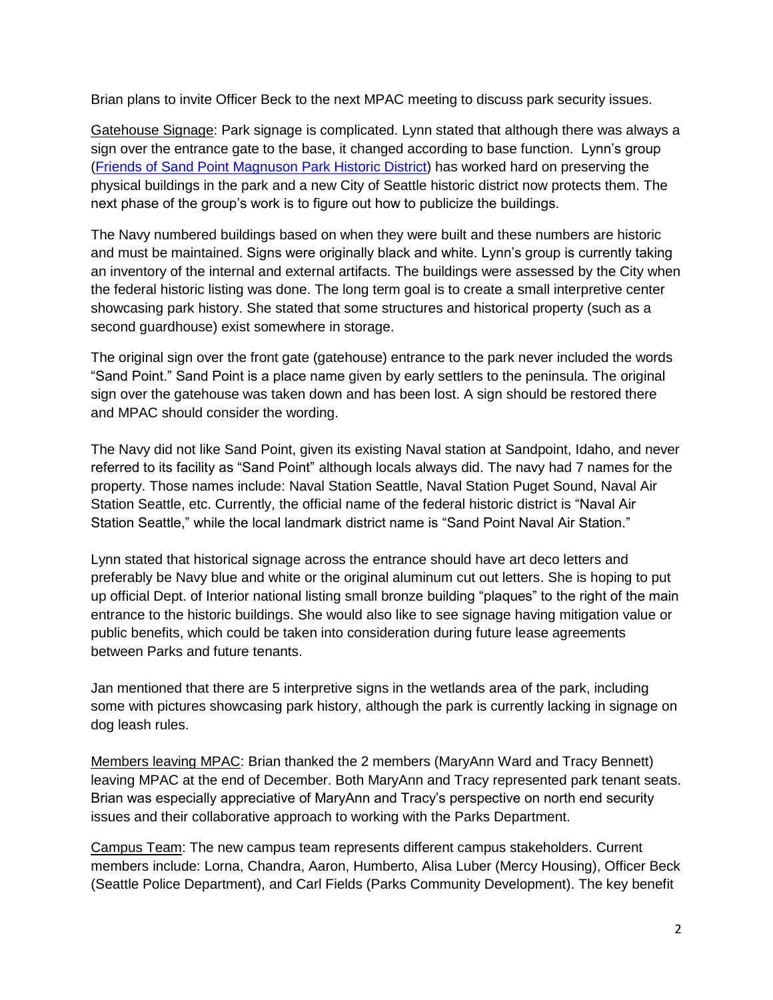Brian plans to invite Officer Beck to the next MPAC meeting to discuss park security issues.

Gatehouse Signage: Park signage is complicated. Lynn stated that although there was always a sign over the entrance gate to the base, it changed according to base function. Lynn's group [\(Friends of Sand Point Magnuson](http://sandptnavsta.org/_home/home.php) Park Historic District) has worked hard on preserving the physical buildings in the park and a new City of Seattle historic district now protects them. The next phase of the group's work is to figure out how to publicize the buildings.

The Navy numbered buildings based on when they were built and these numbers are historic and must be maintained. Signs were originally black and white. Lynn's group is currently taking an inventory of the internal and external artifacts. The buildings were assessed by the City when the federal historic listing was done. The long term goal is to create a small interpretive center showcasing park history. She stated that some structures and historical property (such as a second guardhouse) exist somewhere in storage.

The original sign over the front gate (gatehouse) entrance to the park never included the words "Sand Point." Sand Point is a place name given by early settlers to the peninsula. The original sign over the gatehouse was taken down and has been lost. A sign should be restored there and MPAC should consider the wording.

The Navy did not like Sand Point, given its existing Naval station at Sandpoint, Idaho, and never referred to its facility as "Sand Point" although locals always did. The navy had 7 names for the property. Those names include: Naval Station Seattle, Naval Station Puget Sound, Naval Air Station Seattle, etc. Currently, the official name of the federal historic district is "Naval Air Station Seattle," while the local landmark district name is "Sand Point Naval Air Station."

Lynn stated that historical signage across the entrance should have art deco letters and preferably be Navy blue and white or the original aluminum cut out letters. She is hoping to put up official Dept. of Interior national listing small bronze building "plaques" to the right of the main entrance to the historic buildings. She would also like to see signage having mitigation value or public benefits, which could be taken into consideration during future lease agreements between Parks and future tenants.

Jan mentioned that there are 5 interpretive signs in the wetlands area of the park, including some with pictures showcasing park history, although the park is currently lacking in signage on dog leash rules.

Members leaving MPAC: Brian thanked the 2 members (MaryAnn Ward and Tracy Bennett) leaving MPAC at the end of December. Both MaryAnn and Tracy represented park tenant seats. Brian was especially appreciative of MaryAnn and Tracy's perspective on north end security issues and their collaborative approach to working with the Parks Department.

Campus Team: The new campus team represents different campus stakeholders. Current members include: Lorna, Chandra, Aaron, Humberto, Alisa Luber (Mercy Housing), Officer Beck (Seattle Police Department), and Carl Fields (Parks Community Development). The key benefit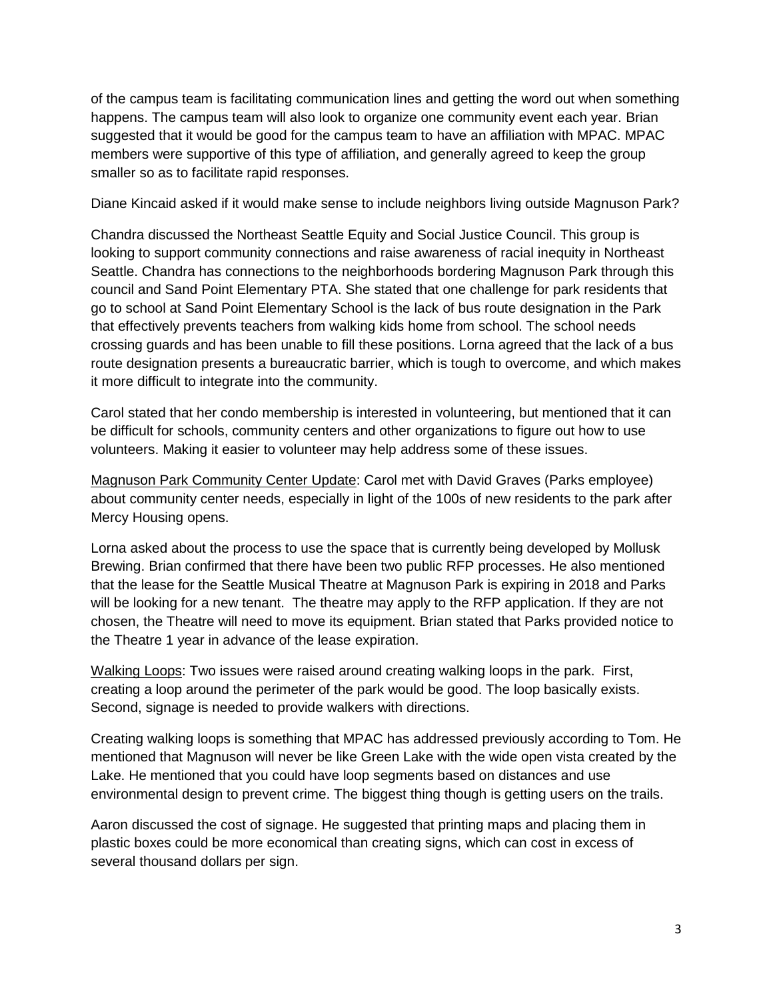of the campus team is facilitating communication lines and getting the word out when something happens. The campus team will also look to organize one community event each year. Brian suggested that it would be good for the campus team to have an affiliation with MPAC. MPAC members were supportive of this type of affiliation, and generally agreed to keep the group smaller so as to facilitate rapid responses.

Diane Kincaid asked if it would make sense to include neighbors living outside Magnuson Park?

Chandra discussed the Northeast Seattle Equity and Social Justice Council. This group is looking to support community connections and raise awareness of racial inequity in Northeast Seattle. Chandra has connections to the neighborhoods bordering Magnuson Park through this council and Sand Point Elementary PTA. She stated that one challenge for park residents that go to school at Sand Point Elementary School is the lack of bus route designation in the Park that effectively prevents teachers from walking kids home from school. The school needs crossing guards and has been unable to fill these positions. Lorna agreed that the lack of a bus route designation presents a bureaucratic barrier, which is tough to overcome, and which makes it more difficult to integrate into the community.

Carol stated that her condo membership is interested in volunteering, but mentioned that it can be difficult for schools, community centers and other organizations to figure out how to use volunteers. Making it easier to volunteer may help address some of these issues.

Magnuson Park Community Center Update: Carol met with David Graves (Parks employee) about community center needs, especially in light of the 100s of new residents to the park after Mercy Housing opens.

Lorna asked about the process to use the space that is currently being developed by Mollusk Brewing. Brian confirmed that there have been two public RFP processes. He also mentioned that the lease for the Seattle Musical Theatre at Magnuson Park is expiring in 2018 and Parks will be looking for a new tenant. The theatre may apply to the RFP application. If they are not chosen, the Theatre will need to move its equipment. Brian stated that Parks provided notice to the Theatre 1 year in advance of the lease expiration.

Walking Loops: Two issues were raised around creating walking loops in the park. First, creating a loop around the perimeter of the park would be good. The loop basically exists. Second, signage is needed to provide walkers with directions.

Creating walking loops is something that MPAC has addressed previously according to Tom. He mentioned that Magnuson will never be like Green Lake with the wide open vista created by the Lake. He mentioned that you could have loop segments based on distances and use environmental design to prevent crime. The biggest thing though is getting users on the trails.

Aaron discussed the cost of signage. He suggested that printing maps and placing them in plastic boxes could be more economical than creating signs, which can cost in excess of several thousand dollars per sign.